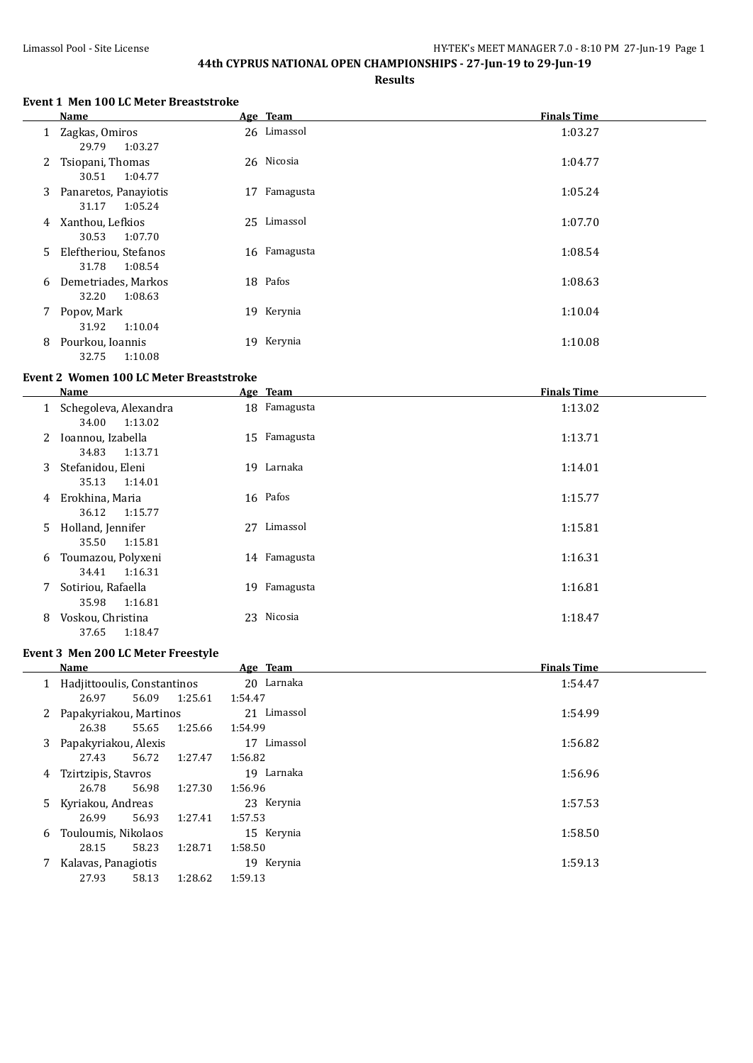#### **44th CYPRUS NATIONAL OPEN CHAMPIONSHIPS - 27-Jun-19 to 29-Jun-19**

**Results**

#### **Event 1 Men 100 LC Meter Breaststroke**

|   | Name                                        |    | Age Team     | <b>Finals Time</b> |
|---|---------------------------------------------|----|--------------|--------------------|
|   | 1 Zagkas, Omiros<br>1:03.27<br>29.79        |    | 26 Limassol  | 1:03.27            |
| 2 | Tsiopani, Thomas<br>30.51<br>1:04.77        |    | 26 Nicosia   | 1:04.77            |
|   | 3 Panaretos, Panayiotis<br>31.17<br>1:05.24 | 17 | Famagusta    | 1:05.24            |
| 4 | Xanthou, Lefkios<br>1:07.70<br>30.53        |    | 25 Limassol  | 1:07.70            |
| 5 | Eleftheriou, Stefanos<br>31.78<br>1:08.54   |    | 16 Famagusta | 1:08.54            |
| 6 | Demetriades, Markos<br>32.20<br>1:08.63     |    | 18 Pafos     | 1:08.63            |
|   | 7 Popov, Mark<br>31.92<br>1:10.04           |    | 19 Kerynia   | 1:10.04            |
| 8 | Pourkou, Ioannis<br>1:10.08<br>32.75        |    | 19 Kerynia   | 1:10.08            |

### **Event 2 Women 100 LC Meter Breaststroke**

|    | Name                                      |    | Age Team     | <b>Finals Time</b> |
|----|-------------------------------------------|----|--------------|--------------------|
|    | Schegoleva, Alexandra<br>1:13.02<br>34.00 |    | 18 Famagusta | 1:13.02            |
| 2  | Ioannou, Izabella<br>1:13.71<br>34.83     |    | 15 Famagusta | 1:13.71            |
| 3  | Stefanidou, Eleni<br>35.13<br>1:14.01     |    | 19 Larnaka   | 1:14.01            |
| 4  | Erokhina, Maria<br>1:15.77<br>36.12       |    | 16 Pafos     | 1:15.77            |
| 5. | Holland, Jennifer<br>1:15.81<br>35.50     | 27 | Limassol     | 1:15.81            |
| 6  | Toumazou, Polyxeni<br>1:16.31<br>34.41    |    | 14 Famagusta | 1:16.31            |
| 7  | Sotiriou, Rafaella<br>35.98<br>1:16.81    |    | 19 Famagusta | 1:16.81            |
| 8  | Voskou, Christina<br>1:18.47<br>37.65     | 23 | Nicosia      | 1:18.47            |

#### **Event 3 Men 200 LC Meter Freestyle**

|   | Name                        |       |         | Age Team       | <b>Finals Time</b> |
|---|-----------------------------|-------|---------|----------------|--------------------|
|   | Hadjittooulis, Constantinos |       |         | 20 Larnaka     | 1:54.47            |
|   | 26.97                       | 56.09 | 1:25.61 | 1:54.47        |                    |
|   | 2 Papakyriakou, Martinos    |       |         | 21 Limassol    | 1:54.99            |
|   | 26.38                       | 55.65 | 1:25.66 | 1:54.99        |                    |
| 3 | Papakyriakou, Alexis        |       |         | Limassol<br>17 | 1:56.82            |
|   | 27.43                       | 56.72 | 1:27.47 | 1:56.82        |                    |
| 4 | Tzirtzipis, Stavros         |       |         | 19 Larnaka     | 1:56.96            |
|   | 26.78                       | 56.98 | 1:27.30 | 1:56.96        |                    |
|   | 5 Kyriakou, Andreas         |       |         | 23 Kerynia     | 1:57.53            |
|   | 26.99                       | 56.93 | 1:27.41 | 1:57.53        |                    |
| 6 | Touloumis, Nikolaos         |       |         | 15 Kerynia     | 1:58.50            |
|   | 28.15                       | 58.23 | 1:28.71 | 1:58.50        |                    |
|   | Kalavas, Panagiotis         |       |         | 19 Kerynia     | 1:59.13            |
|   | 27.93                       | 58.13 | 1:28.62 | 1:59.13        |                    |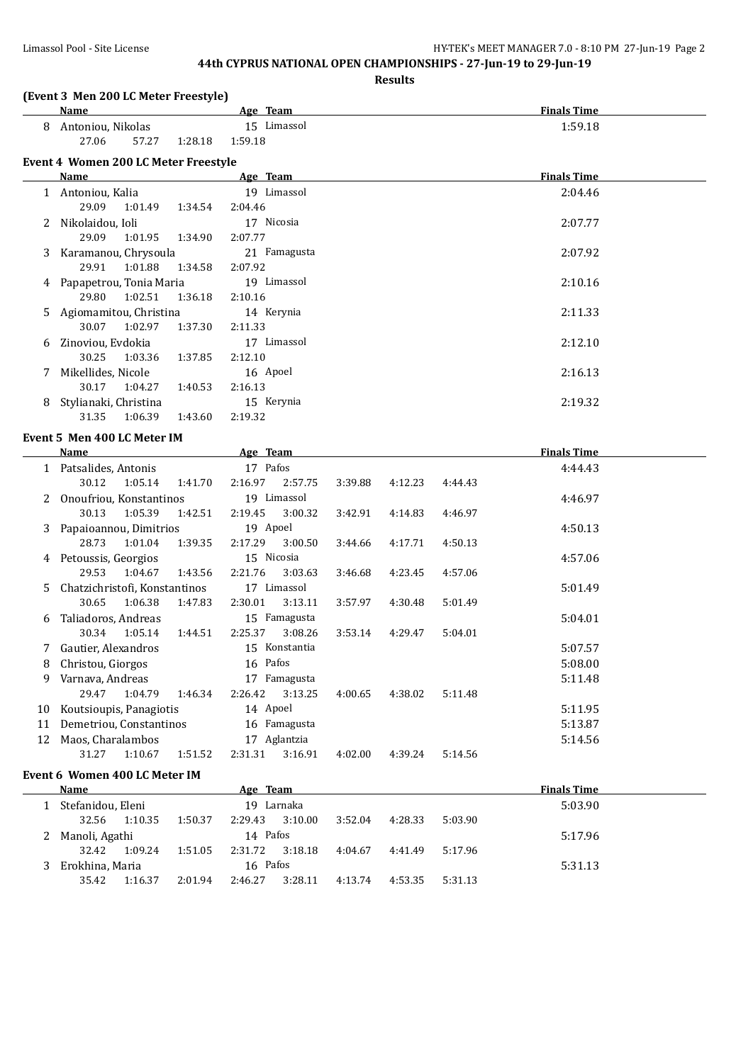#### Limassol Pool - Site License HY-TEK's MEET MANAGER 7.0 - 8:10 PM 27-Jun-19 Page 2

# **44th CYPRUS NATIONAL OPEN CHAMPIONSHIPS - 27-Jun-19 to 29-Jun-19**

**Results**

|    |                                              |         |                        |         | Results |         |                    |  |
|----|----------------------------------------------|---------|------------------------|---------|---------|---------|--------------------|--|
|    | (Event 3 Men 200 LC Meter Freestyle)<br>Name |         | Age Team               |         |         |         | <b>Finals Time</b> |  |
|    | 8 Antoniou, Nikolas<br>27.06<br>57.27        | 1:28.18 | 15 Limassol<br>1:59.18 |         |         |         | 1:59.18            |  |
|    | <b>Event 4 Women 200 LC Meter Freestyle</b>  |         |                        |         |         |         |                    |  |
|    | <b>Name</b>                                  |         | Age Team               |         |         |         | <b>Finals Time</b> |  |
|    | 1 Antoniou, Kalia                            |         | 19 Limassol            |         |         |         | 2:04.46            |  |
|    | 29.09<br>1:01.49                             | 1:34.54 | 2:04.46                |         |         |         |                    |  |
| 2  | Nikolaidou, Ioli                             |         | 17 Nicosia             |         |         |         | 2:07.77            |  |
|    | 29.09<br>1:01.95                             | 1:34.90 | 2:07.77                |         |         |         |                    |  |
| 3  | Karamanou, Chrysoula                         |         | 21 Famagusta           |         |         |         | 2:07.92            |  |
|    | 29.91<br>1:01.88                             | 1:34.58 | 2:07.92                |         |         |         |                    |  |
| 4  | Papapetrou, Tonia Maria                      |         | 19 Limassol            |         |         |         | 2:10.16            |  |
|    | 29.80<br>1:02.51                             | 1:36.18 | 2:10.16                |         |         |         |                    |  |
| 5  | Agiomamitou, Christina                       |         | 14 Kerynia             |         |         |         | 2:11.33            |  |
|    | 30.07<br>1:02.97                             | 1:37.30 | 2:11.33                |         |         |         |                    |  |
| 6  | Zinoviou, Evdokia                            |         | 17 Limassol            |         |         |         | 2:12.10            |  |
|    | 30.25<br>1:03.36                             | 1:37.85 | 2:12.10                |         |         |         |                    |  |
| 7  | Mikellides, Nicole                           |         | 16 Apoel               |         |         |         | 2:16.13            |  |
|    | 30.17<br>1:04.27                             | 1:40.53 | 2:16.13                |         |         |         |                    |  |
| 8  | Stylianaki, Christina                        |         | 15 Kerynia             |         |         |         | 2:19.32            |  |
|    | 31.35<br>1:06.39                             | 1:43.60 | 2:19.32                |         |         |         |                    |  |
|    | Event 5 Men 400 LC Meter IM                  |         |                        |         |         |         |                    |  |
|    | Name                                         |         | Age Team               |         |         |         | <b>Finals Time</b> |  |
|    | 1 Patsalides, Antonis                        |         | 17 Pafos               |         |         |         | 4:44.43            |  |
|    | 30.12<br>1:05.14                             | 1:41.70 | 2:16.97<br>2:57.75     | 3:39.88 | 4:12.23 | 4:44.43 |                    |  |
|    | 2 Onoufriou, Konstantinos                    |         | 19 Limassol            |         |         |         | 4:46.97            |  |
|    | 30.13<br>1:05.39                             | 1:42.51 | 2:19.45<br>3:00.32     | 3:42.91 | 4:14.83 | 4:46.97 |                    |  |
| 3  | Papaioannou, Dimitrios                       |         | 19 Apoel               |         |         |         | 4:50.13            |  |
|    | 28.73<br>1:01.04                             | 1:39.35 | 2:17.29<br>3:00.50     | 3:44.66 | 4:17.71 | 4:50.13 |                    |  |
|    | 4 Petoussis, Georgios                        |         | 15 Nicosia             |         |         |         | 4:57.06            |  |
|    | 29.53<br>1:04.67                             | 1:43.56 | 2:21.76<br>3:03.63     | 3:46.68 | 4:23.45 | 4:57.06 |                    |  |
| 5. | Chatzichristofi, Konstantinos                |         | 17 Limassol            |         |         |         | 5:01.49            |  |
|    | 30.65<br>1:06.38                             | 1:47.83 | 2:30.01<br>3:13.11     | 3:57.97 | 4:30.48 | 5:01.49 |                    |  |
| 6  | Taliadoros, Andreas                          |         | 15 Famagusta           |         |         |         | 5:04.01            |  |
|    | 30.34<br>1:05.14                             | 1:44.51 | 2:25.37<br>3:08.26     | 3:53.14 | 4:29.47 | 5:04.01 |                    |  |
|    | Gautier, Alexandros                          |         | 15 Konstantia          |         |         |         | 5:07.57            |  |
| 8  | Christou, Giorgos                            |         | 16 Pafos               |         |         |         | 5:08.00            |  |
| 9  | Varnava, Andreas                             |         | 17 Famagusta           |         |         |         | 5:11.48            |  |
|    | 29.47<br>1:04.79                             | 1:46.34 | 2:26.42<br>3:13.25     | 4:00.65 | 4:38.02 | 5:11.48 |                    |  |
| 10 | Koutsioupis, Panagiotis                      |         | 14 Apoel               |         |         |         | 5:11.95            |  |
| 11 | Demetriou, Constantinos                      |         | 16 Famagusta           |         |         |         | 5:13.87            |  |
|    | Maos, Charalambos                            |         | 17 Aglantzia           |         |         |         | 5:14.56            |  |
| 12 | 1:10.67<br>31.27                             | 1:51.52 | 2:31.31<br>3:16.91     | 4:02.00 | 4:39.24 | 5:14.56 |                    |  |
|    |                                              |         |                        |         |         |         |                    |  |

#### **Event 6 Women 400 LC Meter IM**

| Name              |          |         | Age Team |            |         | <b>Finals Time</b> |         |         |  |
|-------------------|----------|---------|----------|------------|---------|--------------------|---------|---------|--|
| Stefanidou, Eleni |          |         |          | 19 Larnaka |         |                    |         | 5:03.90 |  |
| 32.56             | 1:10.35  | 1:50.37 | 2:29.43  | 3:10.00    | 3:52.04 | 4:28.33            | 5:03.90 |         |  |
| 2 Manoli, Agathi  |          |         | 14 Pafos |            |         |                    |         | 5:17.96 |  |
| 32.42             | 1:09.24  | 1:51.05 | 2:31.72  | 3:18.18    | 4:04.67 | 4:41.49            | 5:17.96 |         |  |
| Erokhina, Maria   | 16 Pafos |         |          |            |         | 5:31.13            |         |         |  |
| 35.42             | 1:16.37  | 2:01.94 | 2:46.27  | 3:28.11    | 4:13.74 | 4:53.35            | 5:31.13 |         |  |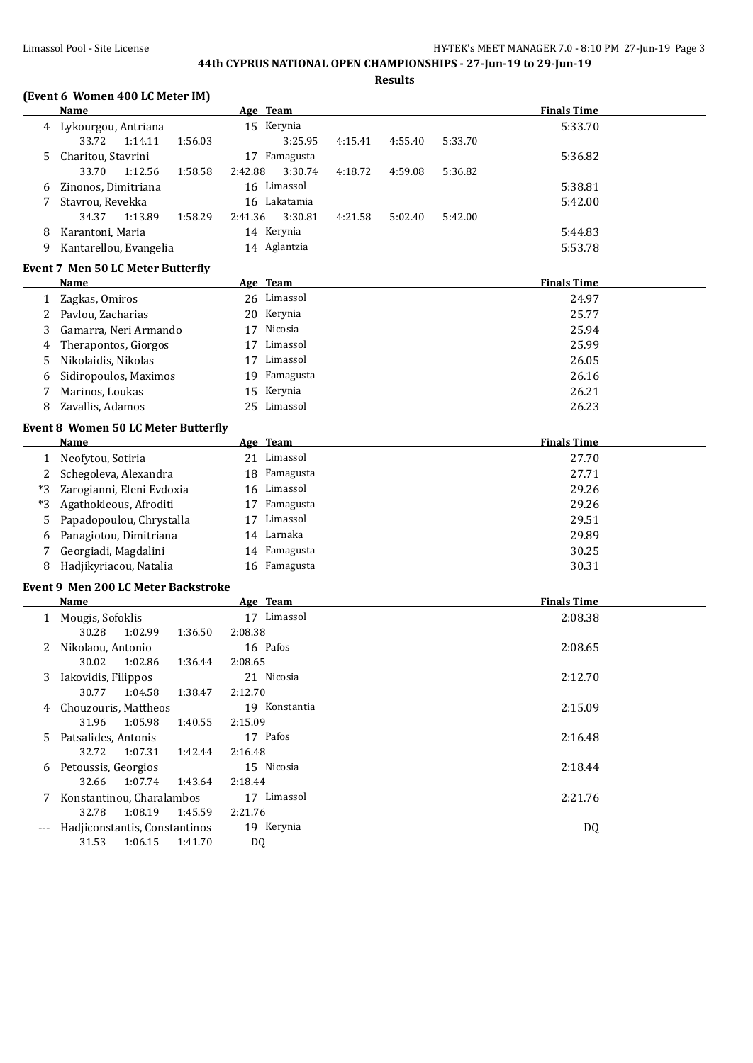# **44th CYPRUS NATIONAL OPEN CHAMPIONSHIPS - 27-Jun-19 to 29-Jun-19**

**Results**

#### **(Event 6 Women 400 LC Meter IM)**

|      | Name                                       | Age Team           |         |         |         | <b>Finals Time</b> |  |
|------|--------------------------------------------|--------------------|---------|---------|---------|--------------------|--|
| 4    | Lykourgou, Antriana                        | 15 Kerynia         |         |         |         | 5:33.70            |  |
|      | 33.72<br>1:14.11<br>1:56.03                | 3:25.95            | 4:15.41 | 4:55.40 | 5:33.70 |                    |  |
| 5    | Charitou, Stavrini                         | 17 Famagusta       |         |         |         | 5:36.82            |  |
|      | 33.70<br>1:58.58<br>1:12.56                | 2:42.88<br>3:30.74 | 4:18.72 | 4:59.08 | 5:36.82 |                    |  |
| 6    | Zinonos, Dimitriana                        | 16 Limassol        |         |         |         | 5:38.81            |  |
| 7    | Stavrou, Revekka                           | 16 Lakatamia       |         |         |         | 5:42.00            |  |
|      | 34.37<br>1:13.89<br>1:58.29                | 2:41.36<br>3:30.81 | 4:21.58 | 5:02.40 | 5:42.00 |                    |  |
| 8    | Karantoni, Maria                           | 14 Kerynia         |         |         |         | 5:44.83            |  |
| 9    | Kantarellou, Evangelia                     | 14 Aglantzia       |         |         |         | 5:53.78            |  |
|      | <b>Event 7 Men 50 LC Meter Butterfly</b>   |                    |         |         |         |                    |  |
|      | Name                                       | Age Team           |         |         |         | <b>Finals Time</b> |  |
| 1    | Zagkas, Omiros                             | 26 Limassol        |         |         |         | 24.97              |  |
| 2    | Pavlou, Zacharias                          | 20 Kerynia         |         |         |         | 25.77              |  |
| 3    | Gamarra, Neri Armando                      | 17 Nicosia         |         |         |         | 25.94              |  |
| 4    | Therapontos, Giorgos                       | 17 Limassol        |         |         |         | 25.99              |  |
| 5    | Nikolaidis, Nikolas                        | 17 Limassol        |         |         |         | 26.05              |  |
| 6    | Sidiropoulos, Maximos                      | 19 Famagusta       |         |         |         | 26.16              |  |
| 7    | Marinos, Loukas                            | Kerynia<br>15      |         |         |         | 26.21              |  |
| 8    | Zavallis, Adamos                           | 25 Limassol        |         |         |         | 26.23              |  |
|      | <b>Event 8 Women 50 LC Meter Butterfly</b> |                    |         |         |         |                    |  |
|      | Name                                       | Age Team           |         |         |         | <b>Finals Time</b> |  |
| 1    | Neofytou, Sotiria                          | 21 Limassol        |         |         |         | 27.70              |  |
| 2    | Schegoleva, Alexandra                      | 18 Famagusta       |         |         |         | 27.71              |  |
| *3   | Zarogianni, Eleni Evdoxia                  | 16 Limassol        |         |         |         | 29.26              |  |
| $*3$ | Agathokleous, Afroditi                     | 17 Famagusta       |         |         |         | 29.26              |  |
| 5    | Papadopoulou, Chrystalla                   | 17 Limassol        |         |         |         | 29.51              |  |
| 6    | Panagiotou, Dimitriana                     | 14 Larnaka         |         |         |         | 29.89              |  |
| 7    | Georgiadi, Magdalini                       | 14 Famagusta       |         |         |         | 30.25              |  |
| 8    | Hadjikyriacou, Natalia                     | 16 Famagusta       |         |         |         | 30.31              |  |
|      | Event 9 Men 200 LC Meter Backstroke        |                    |         |         |         |                    |  |
|      | <b>Name</b>                                | Age Team           |         |         |         | <b>Finals Time</b> |  |
|      | 1 Mougis, Sofoklis                         | 17 Limassol        |         |         |         | 2:08.38            |  |
|      | 30.28<br>1:02.99<br>1:36.50                | 2:08.38            |         |         |         |                    |  |
| 2    | Nikolaou, Antonio                          | 16 Pafos           |         |         |         | 2:08.65            |  |
|      | 30.02<br>1:02.86<br>1:36.44                | 2:08.65            |         |         |         |                    |  |
| 3    | Iakovidis, Filippos                        | 21 Nicosia         |         |         |         | 2:12.70            |  |
|      | 30.77<br>1:38.47<br>1:04.58                | 2:12.70            |         |         |         |                    |  |

4 Chouzouris, Mattheos 19 Konstantia 2:15.09

5 Patsalides, Antonis 17 Pafos 2:16.48

6 Petoussis, Georgios 15 Nicosia 2:18.44

7 Konstantinou, Charalambos 17 Limassol 2:21.76

--- Hadjiconstantis, Constantinos 19 Kerynia 19 Kerynia DQ

31.96 1:05.98 1:40.55 2:15.09

32.72 1:07.31 1:42.44 2:16.48

32.66 1:07.74 1:43.64 2:18.44

32.78 1:08.19 1:45.59 2:21.76

31.53 1:06.15 1:41.70 DQ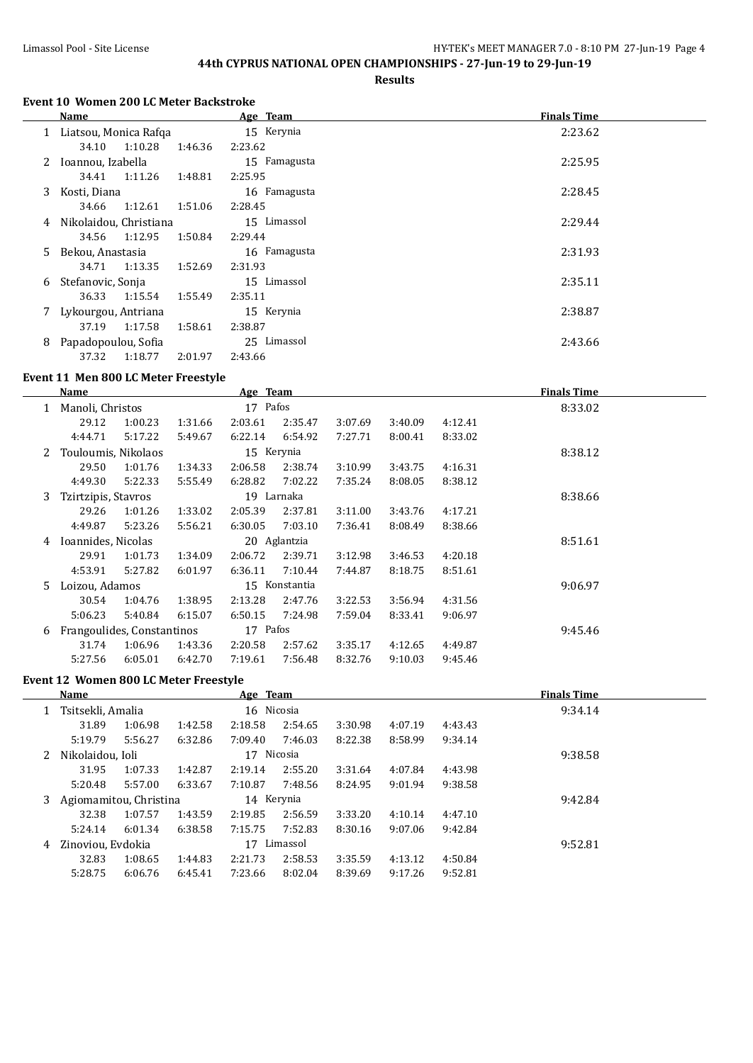# **44th CYPRUS NATIONAL OPEN CHAMPIONSHIPS - 27-Jun-19 to 29-Jun-19**

**Results**

#### **Event 10 Women 200 LC Meter Backstroke**

|   | Name                     |         |         | Age Team     | <b>Finals Time</b> |
|---|--------------------------|---------|---------|--------------|--------------------|
|   | 1 Liatsou, Monica Rafqa  |         |         | 15 Kerynia   | 2:23.62            |
|   | 34.10                    | 1:10.28 | 1:46.36 | 2:23.62      |                    |
|   | 2 Ioannou, Izabella      |         |         | 15 Famagusta | 2:25.95            |
|   | 34.41                    | 1:11.26 | 1:48.81 | 2:25.95      |                    |
| 3 | Kosti, Diana             |         |         | 16 Famagusta | 2:28.45            |
|   | 34.66                    | 1:12.61 | 1:51.06 | 2:28.45      |                    |
|   | 4 Nikolaidou, Christiana |         |         | 15 Limassol  | 2:29.44            |
|   | 34.56                    | 1:12.95 | 1:50.84 | 2:29.44      |                    |
|   | 5 Bekou, Anastasia       |         |         | 16 Famagusta | 2:31.93            |
|   | 34.71                    | 1:13.35 | 1:52.69 | 2:31.93      |                    |
|   | 6 Stefanovic, Sonja      |         |         | 15 Limassol  | 2:35.11            |
|   | 36.33                    | 1:15.54 | 1:55.49 | 2:35.11      |                    |
|   | Lykourgou, Antriana      |         |         | 15 Kerynia   | 2:38.87            |
|   | 37.19                    | 1:17.58 | 1:58.61 | 2:38.87      |                    |
| 8 | Papadopoulou, Sofia      |         |         | 25 Limassol  | 2:43.66            |
|   | 37.32                    | 1:18.77 | 2:01.97 | 2:43.66      |                    |

### **Event 11 Men 800 LC Meter Freestyle**

|              | Name                       |         | Age Team |            |               |         |         | <b>Finals Time</b> |         |  |
|--------------|----------------------------|---------|----------|------------|---------------|---------|---------|--------------------|---------|--|
|              | Manoli, Christos           |         |          | 17 Pafos   |               |         |         |                    | 8:33.02 |  |
|              | 29.12                      | 1:00.23 | 1:31.66  | 2:03.61    | 2:35.47       | 3:07.69 | 3:40.09 | 4:12.41            |         |  |
|              | 4:44.71                    | 5:17.22 | 5:49.67  | 6:22.14    | 6:54.92       | 7:27.71 | 8:00.41 | 8:33.02            |         |  |
| $\mathbf{Z}$ | Touloumis, Nikolaos        |         |          | 15 Kerynia |               |         |         |                    | 8:38.12 |  |
|              | 29.50                      | 1:01.76 | 1:34.33  | 2:06.58    | 2:38.74       | 3:10.99 | 3:43.75 | 4:16.31            |         |  |
|              | 4:49.30                    | 5:22.33 | 5:55.49  | 6:28.82    | 7:02.22       | 7:35.24 | 8:08.05 | 8:38.12            |         |  |
| 3            | Tzirtzipis, Stavros        |         |          | 19 Larnaka |               |         |         |                    | 8:38.66 |  |
|              | 29.26                      | 1:01.26 | 1:33.02  | 2:05.39    | 2:37.81       | 3:11.00 | 3:43.76 | 4:17.21            |         |  |
|              | 4:49.87                    | 5:23.26 | 5:56.21  | 6:30.05    | 7:03.10       | 7:36.41 | 8:08.49 | 8:38.66            |         |  |
| 4            | Ioannides, Nicolas         |         |          |            | 20 Aglantzia  |         |         |                    | 8:51.61 |  |
|              | 29.91                      | 1:01.73 | 1:34.09  | 2:06.72    | 2:39.71       | 3:12.98 | 3:46.53 | 4:20.18            |         |  |
|              | 4:53.91                    | 5:27.82 | 6:01.97  | 6:36.11    | 7:10.44       | 7:44.87 | 8:18.75 | 8:51.61            |         |  |
| 5.           | Loizou, Adamos             |         |          |            | 15 Konstantia |         |         |                    | 9:06.97 |  |
|              | 30.54                      | 1:04.76 | 1:38.95  | 2:13.28    | 2:47.76       | 3:22.53 | 3:56.94 | 4:31.56            |         |  |
|              | 5:06.23                    | 5:40.84 | 6:15.07  | 6:50.15    | 7:24.98       | 7:59.04 | 8:33.41 | 9:06.97            |         |  |
| 6            | Frangoulides, Constantinos |         |          | 17 Pafos   |               |         |         |                    | 9:45.46 |  |
|              | 31.74                      | 1:06.96 | 1:43.36  | 2:20.58    | 2:57.62       | 3:35.17 | 4:12.65 | 4:49.87            |         |  |
|              | 5:27.56                    | 6:05.01 | 6:42.70  | 7:19.61    | 7:56.48       | 8:32.76 | 9:10.03 | 9:45.46            |         |  |
|              |                            |         |          |            |               |         |         |                    |         |  |

#### **Event 12 Women 800 LC Meter Freestyle**

|   | Name                   |         |            | Age Team   |          |         |         |         | <b>Finals Time</b> |  |
|---|------------------------|---------|------------|------------|----------|---------|---------|---------|--------------------|--|
|   | Tsitsekli, Amalia      |         | 16 Nicosia |            |          |         |         |         | 9:34.14            |  |
|   | 31.89                  | 1:06.98 | 1:42.58    | 2:18.58    | 2:54.65  | 3:30.98 | 4:07.19 | 4:43.43 |                    |  |
|   | 5:19.79                | 5:56.27 | 6:32.86    | 7:09.40    | 7:46.03  | 8:22.38 | 8:58.99 | 9:34.14 |                    |  |
| 2 | Nikolaidou, Ioli       |         |            | 17 Nicosia |          |         |         |         | 9:38.58            |  |
|   | 31.95                  | 1:07.33 | 1:42.87    | 2:19.14    | 2:55.20  | 3:31.64 | 4:07.84 | 4:43.98 |                    |  |
|   | 5:20.48                | 5:57.00 | 6:33.67    | 7:10.87    | 7:48.56  | 8:24.95 | 9:01.94 | 9:38.58 |                    |  |
| 3 | Agiomamitou, Christina |         |            | 14 Kerynia |          |         |         |         | 9:42.84            |  |
|   | 32.38                  | 1:07.57 | 1:43.59    | 2:19.85    | 2:56.59  | 3:33.20 | 4:10.14 | 4:47.10 |                    |  |
|   | 5:24.14                | 6:01.34 | 6:38.58    | 7:15.75    | 7:52.83  | 8:30.16 | 9:07.06 | 9:42.84 |                    |  |
| 4 | Zinoviou. Evdokia      |         |            | 17         | Limassol |         |         |         | 9:52.81            |  |
|   | 32.83                  | 1:08.65 | 1:44.83    | 2:21.73    | 2:58.53  | 3:35.59 | 4:13.12 | 4:50.84 |                    |  |
|   | 5:28.75                | 6:06.76 | 6:45.41    | 7:23.66    | 8:02.04  | 8:39.69 | 9:17.26 | 9:52.81 |                    |  |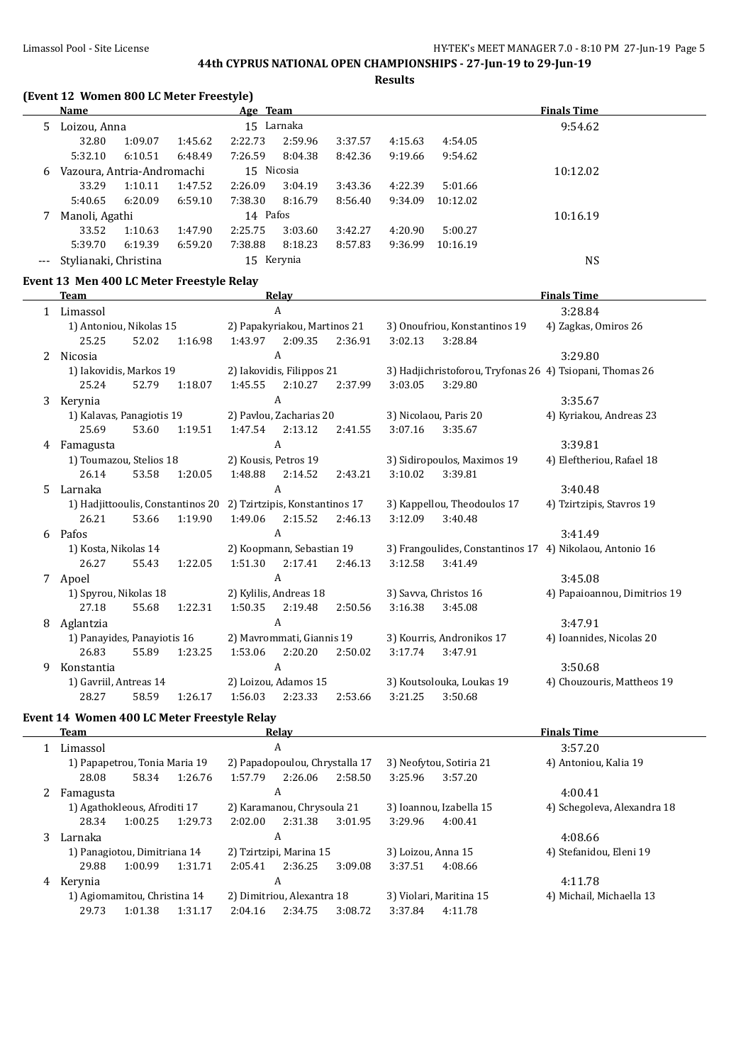#### Limassol Pool - Site License HY-TEK's MEET MANAGER 7.0 - 8:10 PM 27-Jun-19 Page 5

# **44th CYPRUS NATIONAL OPEN CHAMPIONSHIPS - 27-Jun-19 to 29-Jun-19**

**Results**

## **(Event 12 Women 800 LC Meter Freestyle)**

|     | <b>Name</b>                |         |         | Age Team   |            |         |         |          | <b>Finals Time</b> |  |
|-----|----------------------------|---------|---------|------------|------------|---------|---------|----------|--------------------|--|
| 5.  | Loizou, Anna               |         |         |            | 15 Larnaka |         | 9:54.62 |          |                    |  |
|     | 32.80                      | 1:09.07 | 1:45.62 | 2:22.73    | 2:59.96    | 3:37.57 | 4:15.63 | 4:54.05  |                    |  |
|     | 5:32.10                    | 6:10.51 | 6:48.49 | 7:26.59    | 8:04.38    | 8:42.36 | 9:19.66 | 9:54.62  |                    |  |
| 6   | Vazoura, Antria-Andromachi |         |         | 15 Nicosia |            |         |         |          | 10:12.02           |  |
|     | 33.29                      | 1:10.11 | 1:47.52 | 2:26.09    | 3:04.19    | 3:43.36 | 4:22.39 | 5:01.66  |                    |  |
|     | 5:40.65                    | 6:20.09 | 6:59.10 | 7:38.30    | 8:16.79    | 8:56.40 | 9:34.09 | 10:12.02 |                    |  |
|     | Manoli, Agathi             |         |         | 14 Pafos   |            |         |         |          | 10:16.19           |  |
|     | 33.52                      | 1:10.63 | 1:47.90 | 2:25.75    | 3:03.60    | 3:42.27 | 4:20.90 | 5:00.27  |                    |  |
|     | 5:39.70                    | 6:19.39 | 6:59.20 | 7:38.88    | 8:18.23    | 8:57.83 | 9:36.99 | 10:16.19 |                    |  |
| --- | Stylianaki, Christina      |         |         |            | 15 Kerynia |         |         |          | <b>NS</b>          |  |

#### **Event 13 Men 400 LC Meter Freestyle Relay**

|   | <b>Team</b>                                     |                                                      |                                                          |         | Relay                          |                         |                           |                                                          | <b>Finals Time</b>                                       |  |  |  |  |
|---|-------------------------------------------------|------------------------------------------------------|----------------------------------------------------------|---------|--------------------------------|-------------------------|---------------------------|----------------------------------------------------------|----------------------------------------------------------|--|--|--|--|
| 1 | Limassol                                        |                                                      |                                                          |         | A                              |                         |                           |                                                          | 3:28.84                                                  |  |  |  |  |
|   | 1) Antoniou, Nikolas 15                         |                                                      |                                                          |         | 2) Papakyriakou, Martinos 21   |                         |                           | 3) Onoufriou, Konstantinos 19                            | 4) Zagkas, Omiros 26                                     |  |  |  |  |
|   | 25.25                                           | 52.02                                                | 1:16.98                                                  | 1:43.97 | 2:09.35                        | 2:36.91                 | 3:02.13                   | 3:28.84                                                  |                                                          |  |  |  |  |
| 2 | Nicosia                                         |                                                      |                                                          |         | A                              |                         |                           |                                                          | 3:29.80                                                  |  |  |  |  |
|   | 1) Iakovidis, Markos 19                         |                                                      |                                                          |         | 2) Iakovidis, Filippos 21      |                         |                           | 3) Hadjichristoforou, Tryfonas 26 4) Tsiopani, Thomas 26 |                                                          |  |  |  |  |
|   | 25.24                                           | 52.79                                                | 1:18.07                                                  | 1:45.55 | 2:10.27                        | 2:37.99                 | 3:03.05                   | 3:29.80                                                  |                                                          |  |  |  |  |
| 3 | Kerynia                                         |                                                      |                                                          |         | A                              |                         |                           |                                                          | 3:35.67                                                  |  |  |  |  |
|   |                                                 | 1) Kalavas, Panagiotis 19<br>2) Pavlou, Zacharias 20 |                                                          |         | 3) Nicolaou, Paris 20          | 4) Kyriakou, Andreas 23 |                           |                                                          |                                                          |  |  |  |  |
|   | 25.69                                           | 53.60                                                | 1:19.51                                                  | 1:47.54 | 2:13.12                        | 2:41.55                 | 3:07.16                   | 3:35.67                                                  |                                                          |  |  |  |  |
| 4 | Famagusta                                       |                                                      |                                                          |         | $\mathbf{A}$                   |                         |                           |                                                          | 3:39.81                                                  |  |  |  |  |
|   | 1) Toumazou, Stelios 18<br>2) Kousis, Petros 19 |                                                      | 3) Sidiropoulos, Maximos 19<br>4) Eleftheriou, Rafael 18 |         |                                |                         |                           |                                                          |                                                          |  |  |  |  |
|   | 26.14                                           | 53.58                                                | 1:20.05                                                  | 1:48.88 | 2:14.52                        | 2:43.21                 | 3:10.02                   | 3:39.81                                                  |                                                          |  |  |  |  |
| 5 | Larnaka                                         |                                                      |                                                          |         | A                              |                         |                           |                                                          | 3:40.48                                                  |  |  |  |  |
|   | 1) Hadjittooulis, Constantinos 20               |                                                      |                                                          |         | 2) Tzirtzipis, Konstantinos 17 |                         |                           | 3) Kappellou, Theodoulos 17                              | 4) Tzirtzipis, Stavros 19                                |  |  |  |  |
|   | 26.21                                           | 53.66                                                | 1:19.90                                                  | 1:49.06 | 2:15.52                        | 2:46.13                 | 3:12.09                   | 3:40.48                                                  |                                                          |  |  |  |  |
| 6 | Pafos                                           |                                                      |                                                          |         | $\overline{A}$                 |                         |                           |                                                          | 3:41.49                                                  |  |  |  |  |
|   | 1) Kosta, Nikolas 14                            |                                                      |                                                          |         | 2) Koopmann, Sebastian 19      |                         |                           |                                                          | 3) Frangoulides, Constantinos 17 4) Nikolaou, Antonio 16 |  |  |  |  |
|   | 26.27                                           | 55.43                                                | 1:22.05                                                  | 1:51.30 | 2:17.41                        | 2:46.13                 | 3:12.58                   | 3:41.49                                                  |                                                          |  |  |  |  |
| 7 | Apoel                                           |                                                      |                                                          |         | $\overline{A}$                 |                         |                           |                                                          | 3:45.08                                                  |  |  |  |  |
|   | 1) Spyrou, Nikolas 18                           |                                                      |                                                          |         | 2) Kylilis, Andreas 18         |                         |                           | 3) Savva, Christos 16                                    | 4) Papaioannou, Dimitrios 19                             |  |  |  |  |
|   | 27.18                                           | 55.68                                                | 1:22.31                                                  | 1:50.35 | 2:19.48                        | 2:50.56                 | 3:16.38                   | 3:45.08                                                  |                                                          |  |  |  |  |
| 8 | Aglantzia                                       |                                                      |                                                          |         | $\overline{A}$                 |                         |                           |                                                          | 3:47.91                                                  |  |  |  |  |
|   | 1) Panayides, Panayiotis 16                     |                                                      |                                                          |         | 2) Mavrommati, Giannis 19      |                         |                           | 3) Kourris, Andronikos 17                                | 4) Ioannides, Nicolas 20                                 |  |  |  |  |
|   | 26.83                                           | 55.89                                                | 1:23.25                                                  | 1:53.06 | 2:20.20                        | 2:50.02                 | 3:17.74                   | 3:47.91                                                  |                                                          |  |  |  |  |
| 9 | Konstantia                                      |                                                      |                                                          |         | A                              |                         |                           |                                                          | 3:50.68                                                  |  |  |  |  |
|   |                                                 | 1) Gavriil, Antreas 14                               |                                                          |         | 2) Loizou, Adamos 15           |                         | 3) Koutsolouka, Loukas 19 |                                                          | 4) Chouzouris, Mattheos 19                               |  |  |  |  |
|   | 28.27                                           | 58.59                                                | 1:26.17                                                  | 1:56.03 | 2:23.33                        | 2:53.66                 | 3:21.25                   | 3:50.68                                                  |                                                          |  |  |  |  |

# **Event 14 Women 400 LC Meter Freestyle Relay**

|   | <b>Team</b>    |                               |         |         | Relay                          |         | <b>Finals Time</b>      |                          |                             |  |  |
|---|----------------|-------------------------------|---------|---------|--------------------------------|---------|-------------------------|--------------------------|-----------------------------|--|--|
|   | Limassol       |                               |         |         | A                              |         |                         | 3:57.20                  |                             |  |  |
|   |                | 1) Papapetrou, Tonia Maria 19 |         |         | 2) Papadopoulou, Chrystalla 17 |         |                         | 3) Neofytou, Sotiria 21  | 4) Antoniou, Kalia 19       |  |  |
|   | 28.08          | 58.34                         | 1:26.76 | 1:57.79 | 2:26.06                        | 2:58.50 | 3:25.96                 | 3:57.20                  |                             |  |  |
|   | A<br>Famagusta |                               |         |         |                                |         |                         |                          | 4:00.41                     |  |  |
|   |                | 1) Agathokleous, Afroditi 17  |         |         | 2) Karamanou, Chrysoula 21     |         |                         | 3) Ioannou, Izabella 15  | 4) Schegoleva, Alexandra 18 |  |  |
|   | 28.34          | 1:00.25                       | 1:29.73 | 2:02.00 | 2:31.38                        | 3:01.95 | 3:29.96                 | 4:00.41                  |                             |  |  |
| 3 | Larnaka        |                               |         |         | A                              |         |                         |                          | 4:08.66                     |  |  |
|   |                | 1) Panagiotou, Dimitriana 14  |         |         | 2) Tzirtzipi, Marina 15        |         | 3) Loizou, Anna 15      |                          | 4) Stefanidou, Eleni 19     |  |  |
|   | 29.88          | 1:00.99                       | 1:31.71 | 2:05.41 | 2:36.25                        | 3:09.08 | 3:37.51                 | 4:08.66                  |                             |  |  |
| 4 | Kerynia        |                               |         |         | A                              |         |                         |                          | 4:11.78                     |  |  |
|   |                | 1) Agiomamitou, Christina 14  |         |         | 2) Dimitriou, Alexantra 18     |         | 3) Violari, Maritina 15 | 4) Michail, Michaella 13 |                             |  |  |
|   | 29.73          | 1:01.38                       | 1:31.17 | 2:04.16 | 2:34.75                        | 3:08.72 | 3:37.84                 | 4:11.78                  |                             |  |  |
|   |                |                               |         |         |                                |         |                         |                          |                             |  |  |